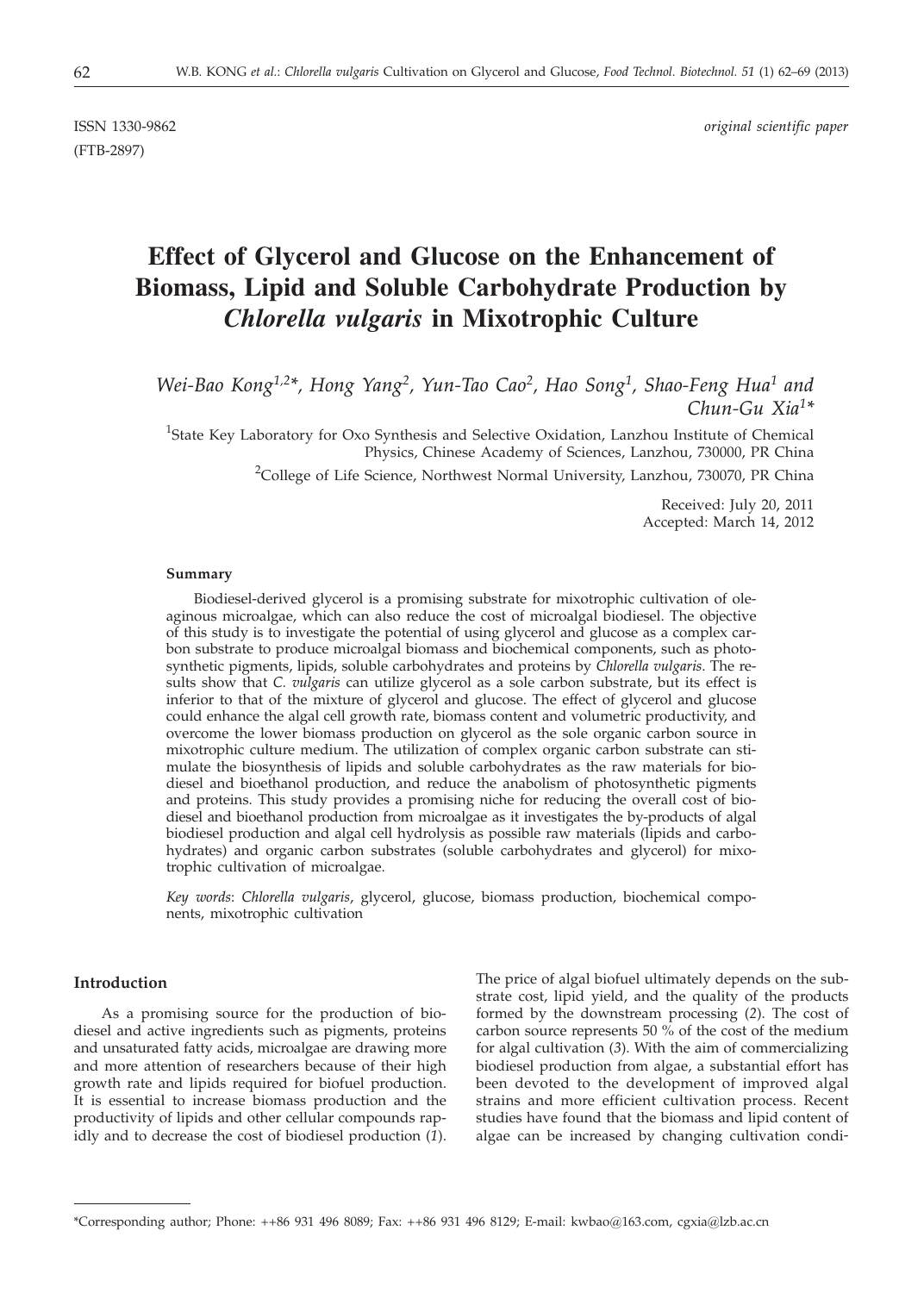(FTB-2897)

ISSN 1330-9862 *original scientific paper*

# **Effect of Glycerol and Glucose on the Enhancement of Biomass, Lipid and Soluble Carbohydrate Production by** *Chlorella vulgaris* **in Mixotrophic Culture**

*Wei-Bao Kong1,2\*, Hong Yang2, Yun-Tao Cao2, Hao Song1, Shao-Feng Hua1 and Chun-Gu Xia1\**

<sup>1</sup>State Key Laboratory for Oxo Synthesis and Selective Oxidation, Lanzhou Institute of Chemical Physics, Chinese Academy of Sciences, Lanzhou, 730000, PR China

<sup>2</sup>College of Life Science, Northwest Normal University, Lanzhou, 730070, PR China

Received: July 20, 2011 Accepted: March 14, 2012

#### **Summary**

Biodiesel-derived glycerol is a promising substrate for mixotrophic cultivation of oleaginous microalgae, which can also reduce the cost of microalgal biodiesel. The objective of this study is to investigate the potential of using glycerol and glucose as a complex carbon substrate to produce microalgal biomass and biochemical components, such as photosynthetic pigments, lipids, soluble carbohydrates and proteins by *Chlorella vulgaris*. The results show that *C. vulgaris* can utilize glycerol as a sole carbon substrate, but its effect is inferior to that of the mixture of glycerol and glucose. The effect of glycerol and glucose could enhance the algal cell growth rate, biomass content and volumetric productivity, and overcome the lower biomass production on glycerol as the sole organic carbon source in mixotrophic culture medium. The utilization of complex organic carbon substrate can stimulate the biosynthesis of lipids and soluble carbohydrates as the raw materials for biodiesel and bioethanol production, and reduce the anabolism of photosynthetic pigments and proteins. This study provides a promising niche for reducing the overall cost of biodiesel and bioethanol production from microalgae as it investigates the by-products of algal biodiesel production and algal cell hydrolysis as possible raw materials (lipids and carbohydrates) and organic carbon substrates (soluble carbohydrates and glycerol) for mixotrophic cultivation of microalgae.

*Key words*: *Chlorella vulgaris*, glycerol, glucose, biomass production, biochemical components, mixotrophic cultivation

# **Introduction**

As a promising source for the production of biodiesel and active ingredients such as pigments, proteins and unsaturated fatty acids, microalgae are drawing more and more attention of researchers because of their high growth rate and lipids required for biofuel production. It is essential to increase biomass production and the productivity of lipids and other cellular compounds rapidly and to decrease the cost of biodiesel production (*1*).

The price of algal biofuel ultimately depends on the substrate cost, lipid yield, and the quality of the products formed by the downstream processing (*2*). The cost of carbon source represents 50  $\%$  of the cost of the medium for algal cultivation (*3*). With the aim of commercializing biodiesel production from algae, a substantial effort has been devoted to the development of improved algal strains and more efficient cultivation process. Recent studies have found that the biomass and lipid content of algae can be increased by changing cultivation condi-

<sup>\*</sup>Corresponding author; Phone: ++86 931 496 8089; Fax: ++86 931 496 8129; E-mail: kwbao@163.com, cgxia@lzb.ac.cn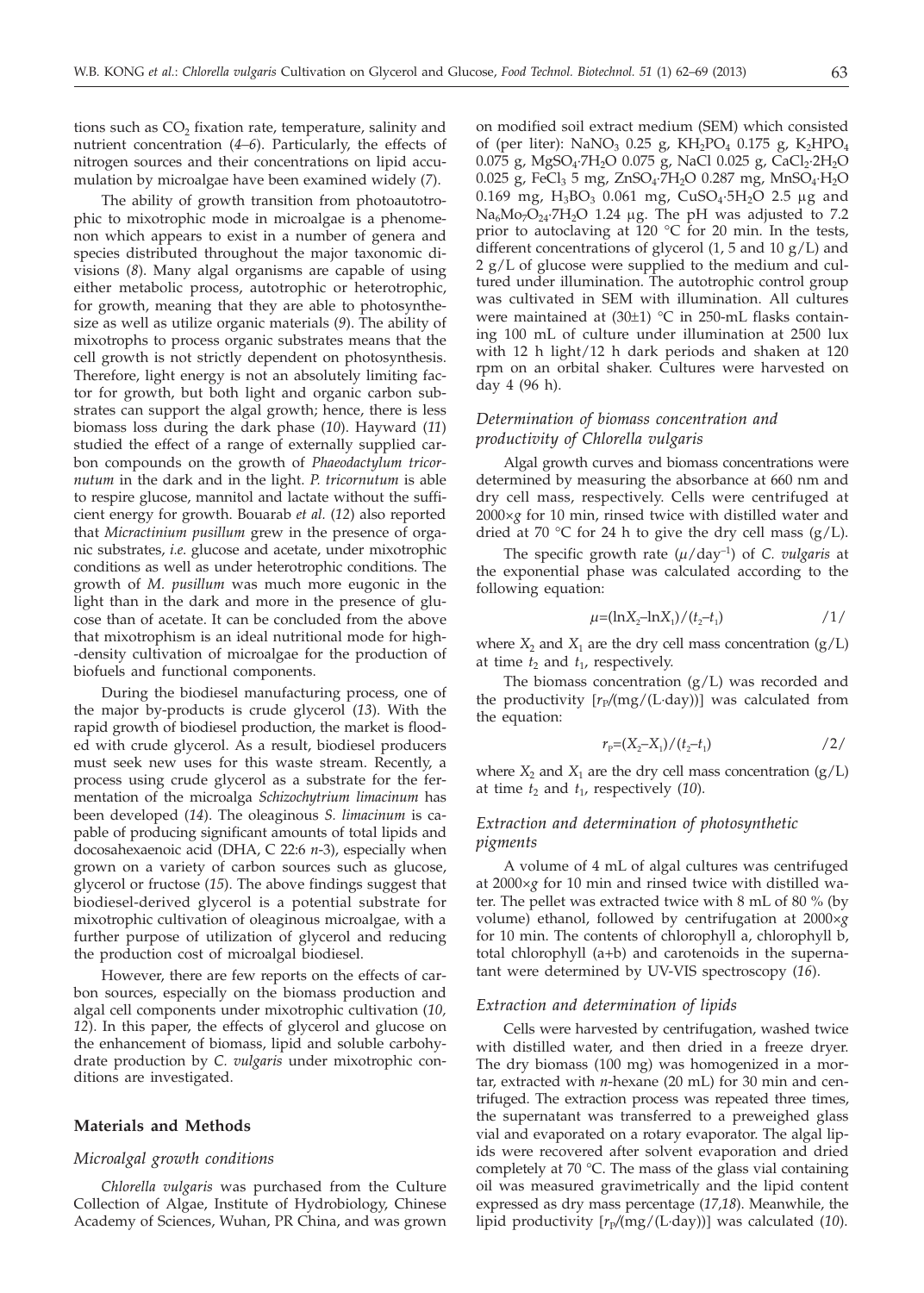tions such as  $CO<sub>2</sub>$  fixation rate, temperature, salinity and nutrient concentration (*4–6*). Particularly, the effects of nitrogen sources and their concentrations on lipid accumulation by microalgae have been examined widely (*7*).

The ability of growth transition from photoautotrophic to mixotrophic mode in microalgae is a phenomenon which appears to exist in a number of genera and species distributed throughout the major taxonomic divisions (*8*). Many algal organisms are capable of using either metabolic process, autotrophic or heterotrophic, for growth, meaning that they are able to photosynthesize as well as utilize organic materials (*9*). The ability of mixotrophs to process organic substrates means that the cell growth is not strictly dependent on photosynthesis. Therefore, light energy is not an absolutely limiting factor for growth, but both light and organic carbon substrates can support the algal growth; hence, there is less biomass loss during the dark phase (*10*). Hayward (*11*) studied the effect of a range of externally supplied carbon compounds on the growth of *Phaeodactylum tricornutum* in the dark and in the light. *P. tricornutum* is able to respire glucose, mannitol and lactate without the sufficient energy for growth. Bouarab *et al.* (*12*) also reported that *Micractinium pusillum* grew in the presence of organic substrates, *i.e*. glucose and acetate, under mixotrophic conditions as well as under heterotrophic conditions. The growth of *M. pusillum* was much more eugonic in the light than in the dark and more in the presence of glucose than of acetate. It can be concluded from the above that mixotrophism is an ideal nutritional mode for high- -density cultivation of microalgae for the production of biofuels and functional components.

During the biodiesel manufacturing process, one of the major by-products is crude glycerol (*13*). With the rapid growth of biodiesel production, the market is flooded with crude glycerol. As a result, biodiesel producers must seek new uses for this waste stream. Recently, a process using crude glycerol as a substrate for the fermentation of the microalga *Schizochytrium limacinum* has been developed (*14*). The oleaginous *S. limacinum* is capable of producing significant amounts of total lipids and docosahexaenoic acid (DHA, C 22:6 *n*-3), especially when grown on a variety of carbon sources such as glucose, glycerol or fructose (*15*). The above findings suggest that biodiesel-derived glycerol is a potential substrate for mixotrophic cultivation of oleaginous microalgae, with a further purpose of utilization of glycerol and reducing the production cost of microalgal biodiesel.

However, there are few reports on the effects of carbon sources, especially on the biomass production and algal cell components under mixotrophic cultivation (*10, 12*). In this paper, the effects of glycerol and glucose on the enhancement of biomass, lipid and soluble carbohydrate production by *C. vulgaris* under mixotrophic conditions are investigated.

# **Materials and Methods**

#### *Microalgal growth conditions*

*Chlorella vulgaris* was purchased from the Culture Collection of Algae, Institute of Hydrobiology, Chinese Academy of Sciences, Wuhan, PR China, and was grown on modified soil extract medium (SEM) which consisted of (per liter): NaNO<sub>3</sub> 0.25 g, KH<sub>2</sub>PO<sub>4</sub> 0.175 g, K<sub>2</sub>HPO<sub>4</sub>  $0.075$  g, MgSO<sub>4</sub>·7H<sub>2</sub>O 0.075 g, NaCl 0.025 g, CaCl<sub>2</sub>·2H<sub>2</sub>O 0.025 g, FeCl<sub>3</sub> 5 mg, ZnSO<sub>4</sub>·7H<sub>2</sub>O 0.287 mg, MnSO<sub>4</sub>·H<sub>2</sub>O 0.169 mg,  $H_3BO_3$  0.061 mg,  $CuSO_4 \cdot 5H_2O$  2.5 µg and  $Na<sub>6</sub>Mo<sub>7</sub>O<sub>24</sub>·7H<sub>2</sub>O$  1.24 µg. The pH was adjusted to 7.2 prior to autoclaving at 120  $^{\circ}$ C for 20 min. In the tests, different concentrations of glycerol (1, 5 and 10 g/L) and 2 g/L of glucose were supplied to the medium and cultured under illumination. The autotrophic control group was cultivated in SEM with illumination. All cultures were maintained at (30±1) °C in 250-mL flasks containing 100 mL of culture under illumination at 2500 lux with 12 h light/12 h dark periods and shaken at 120 rpm on an orbital shaker. Cultures were harvested on day 4 (96 h).

# *Determination of biomass concentration and productivity of Chlorella vulgaris*

Algal growth curves and biomass concentrations were determined by measuring the absorbance at 660 nm and dry cell mass, respectively. Cells were centrifuged at 2000×*g* for 10 min, rinsed twice with distilled water and dried at 70 °C for 24 h to give the dry cell mass  $(g/L)$ .

The specific growth rate  $(\mu / day^{-1})$  of *C. vulgaris* at the exponential phase was calculated according to the following equation:

$$
\mu = (\ln X_2 - \ln X_1)/(t_2 - t_1) \tag{1/}
$$

where  $X_2$  and  $X_1$  are the dry cell mass concentration  $(g/L)$ at time  $t_2$  and  $t_1$ , respectively.

The biomass concentration (g/L) was recorded and the productivity  $[r_P/(mg/(L \cdot day))]$  was calculated from the equation:

$$
r_{\rm P}=(X_2-X_1)/(t_2-t_1) \tag{2/}
$$

where  $X_2$  and  $X_1$  are the dry cell mass concentration ( $g/L$ ) at time  $t_2$  and  $t_1$ , respectively (10).

# *Extraction and determination of photosynthetic pigments*

A volume of 4 mL of algal cultures was centrifuged at 2000×*g* for 10 min and rinsed twice with distilled water. The pellet was extracted twice with 8 mL of 80 % (by volume) ethanol, followed by centrifugation at 2000×*g* for 10 min. The contents of chlorophyll a, chlorophyll b, total chlorophyll (a+b) and carotenoids in the supernatant were determined by UV-VIS spectroscopy (*16*).

### *Extraction and determination of lipids*

Cells were harvested by centrifugation, washed twice with distilled water, and then dried in a freeze dryer. The dry biomass (100 mg) was homogenized in a mortar, extracted with *n*-hexane (20 mL) for 30 min and centrifuged. The extraction process was repeated three times, the supernatant was transferred to a preweighed glass vial and evaporated on a rotary evaporator. The algal lipids were recovered after solvent evaporation and dried completely at 70 °C. The mass of the glass vial containing oil was measured gravimetrically and the lipid content expressed as dry mass percentage (*17,18*). Meanwhile, the lipid productivity  $[r_P/(mg/(L \cdot day))]$  was calculated (10).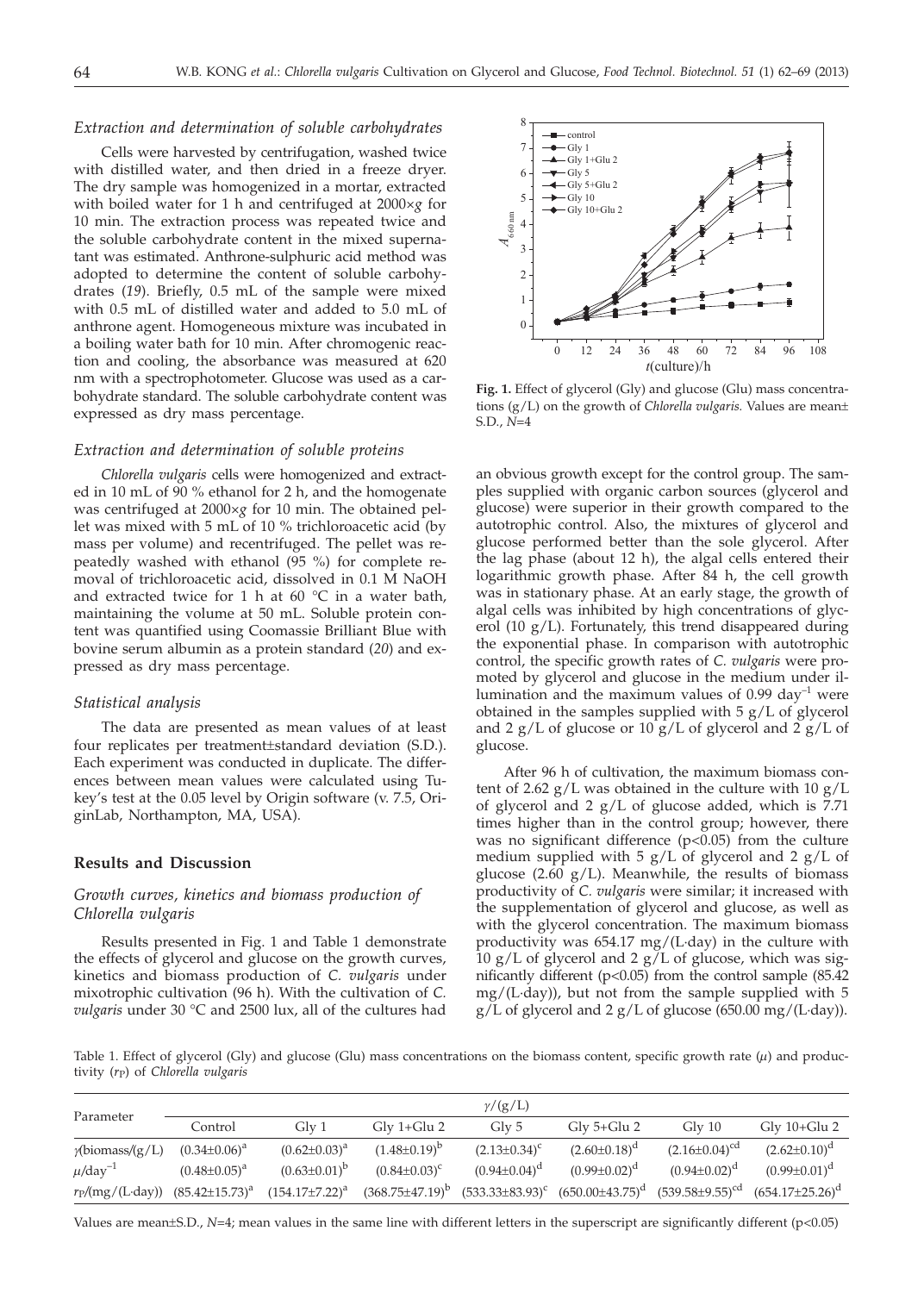## *Extraction and determination of soluble carbohydrates*

Cells were harvested by centrifugation, washed twice with distilled water, and then dried in a freeze dryer. The dry sample was homogenized in a mortar, extracted with boiled water for 1 h and centrifuged at 2000×*g* for 10 min. The extraction process was repeated twice and the soluble carbohydrate content in the mixed supernatant was estimated. Anthrone-sulphuric acid method was adopted to determine the content of soluble carbohydrates (*19*). Briefly, 0.5 mL of the sample were mixed with 0.5 mL of distilled water and added to 5.0 mL of anthrone agent. Homogeneous mixture was incubated in a boiling water bath for 10 min. After chromogenic reaction and cooling, the absorbance was measured at 620 nm with a spectrophotometer. Glucose was used as a carbohydrate standard. The soluble carbohydrate content was expressed as dry mass percentage.

### *Extraction and determination of soluble proteins*

*Chlorella vulgaris* cells were homogenized and extracted in 10 mL of 90 % ethanol for 2 h, and the homogenate was centrifuged at 2000×*g* for 10 min. The obtained pellet was mixed with 5 mL of 10 % trichloroacetic acid (by mass per volume) and recentrifuged. The pellet was repeatedly washed with ethanol (95 %) for complete removal of trichloroacetic acid, dissolved in 0.1 M NaOH and extracted twice for 1 h at 60  $^{\circ}$ C in a water bath, maintaining the volume at 50 mL. Soluble protein content was quantified using Coomassie Brilliant Blue with bovine serum albumin as a protein standard (*20*) and expressed as dry mass percentage.

# *Statistical analysis*

The data are presented as mean values of at least four replicates per treatment±standard deviation (S.D.). Each experiment was conducted in duplicate. The differences between mean values were calculated using Tukey's test at the 0.05 level by Origin software (v. 7.5, OriginLab, Northampton, MA, USA).

## **Results and Discussion**

# *Growth curves, kinetics and biomass production of Chlorella vulgaris*

Results presented in Fig. 1 and Table 1 demonstrate the effects of glycerol and glucose on the growth curves, kinetics and biomass production of *C. vulgaris* under mixotrophic cultivation (96 h). With the cultivation of *C. vulgaris* under 30 °C and 2500 lux, all of the cultures had



**Fig. 1.** Effect of glycerol (Gly) and glucose (Glu) mass concentrations (g/L) on the growth of *Chlorella vulgaris.* Values are mean± S.D., *N*=4

an obvious growth except for the control group. The samples supplied with organic carbon sources (glycerol and glucose) were superior in their growth compared to the autotrophic control. Also, the mixtures of glycerol and glucose performed better than the sole glycerol. After the lag phase (about 12 h), the algal cells entered their logarithmic growth phase. After 84 h, the cell growth was in stationary phase. At an early stage, the growth of algal cells was inhibited by high concentrations of glycerol (10 g/L). Fortunately, this trend disappeared during the exponential phase. In comparison with autotrophic control, the specific growth rates of *C. vulgaris* were promoted by glycerol and glucose in the medium under illumination and the maximum values of  $0.99 \text{ day}^{-1}$  were obtained in the samples supplied with 5 g/L of glycerol and 2  $g/L$  of glucose or 10  $g/L$  of glycerol and 2  $g/L$  of glucose.

After 96 h of cultivation, the maximum biomass content of 2.62  $g/L$  was obtained in the culture with 10  $g/L$ of glycerol and 2  $g/L$  of glucose added, which is 7.71 times higher than in the control group; however, there was no significant difference  $(p<0.05)$  from the culture medium supplied with  $5 g/L$  of glycerol and  $2 g/L$  of glucose (2.60  $g/L$ ). Meanwhile, the results of biomass productivity of *C. vulgaris* were similar; it increased with the supplementation of glycerol and glucose, as well as with the glycerol concentration. The maximum biomass productivity was 654.17 mg/(L·day) in the culture with 10  $g/L$  of glycerol and 2  $g/L$  of glucose, which was significantly different ( $p<0.05$ ) from the control sample (85.42) mg/(L·day)), but not from the sample supplied with 5  $g/L$  of glycerol and 2  $g/L$  of glucose (650.00 mg/(L·day)).

Table 1. Effect of glycerol (Gly) and glucose (Glu) mass concentrations on the biomass content, specific growth rate ( $\mu$ ) and productivity (*r*P) of *Chlorella vulgaris*

| Parameter                         | $\gamma/(g/L)$        |                       |                                    |                      |                                    |                          |                        |  |  |  |  |
|-----------------------------------|-----------------------|-----------------------|------------------------------------|----------------------|------------------------------------|--------------------------|------------------------|--|--|--|--|
|                                   | Control               | Gly 1                 | $\mathrm{Glv}$ 1+ $\mathrm{Glu}$ 2 | Gly 5                | $\mathrm{Glv}$ 5+ $\mathrm{Glu}$ 2 | $\mathrm{Glv}$ 10        | $Gly 10+Glu 2$         |  |  |  |  |
| $\gamma$ (biomass/(g/L)           | $(0.34 \pm 0.06)^a$   | $(0.62 \pm 0.03)^a$   | $(1.48\pm0.19)^b$                  | $(2.13 \pm 0.34)^c$  | $(2.60 \pm 0.18)^d$                | $(2.16 \pm 0.04)^{cd}$   | $(2.62 \pm 0.10)^d$    |  |  |  |  |
| $\mu$ /day <sup>-1</sup>          | $(0.48 \pm 0.05)^a$   | $(0.63 \pm 0.01)^b$   | $(0.84 \pm 0.03)^c$                | $(0.94 \pm 0.04)^d$  | $(0.99 \pm 0.02)^d$                | $(0.94 \pm 0.02)^d$      | $(0.99 \pm 0.01)^d$    |  |  |  |  |
| $r_{\rm P}/\rm(mg/(L \cdot day))$ | $(85.42 \pm 15.73)^a$ | $(154.17 \pm 7.22)^a$ | $(368.75 \pm 47.19)^b$             | $(533.33\pm83.93)^c$ | $(650.00\pm43.75)^d$               | $(539.58 \pm 9.55)^{cd}$ | $(654.17 \pm 25.26)^d$ |  |  |  |  |

Values are mean±S.D.,  $N=4$ ; mean values in the same line with different letters in the superscript are significantly different (p<0.05)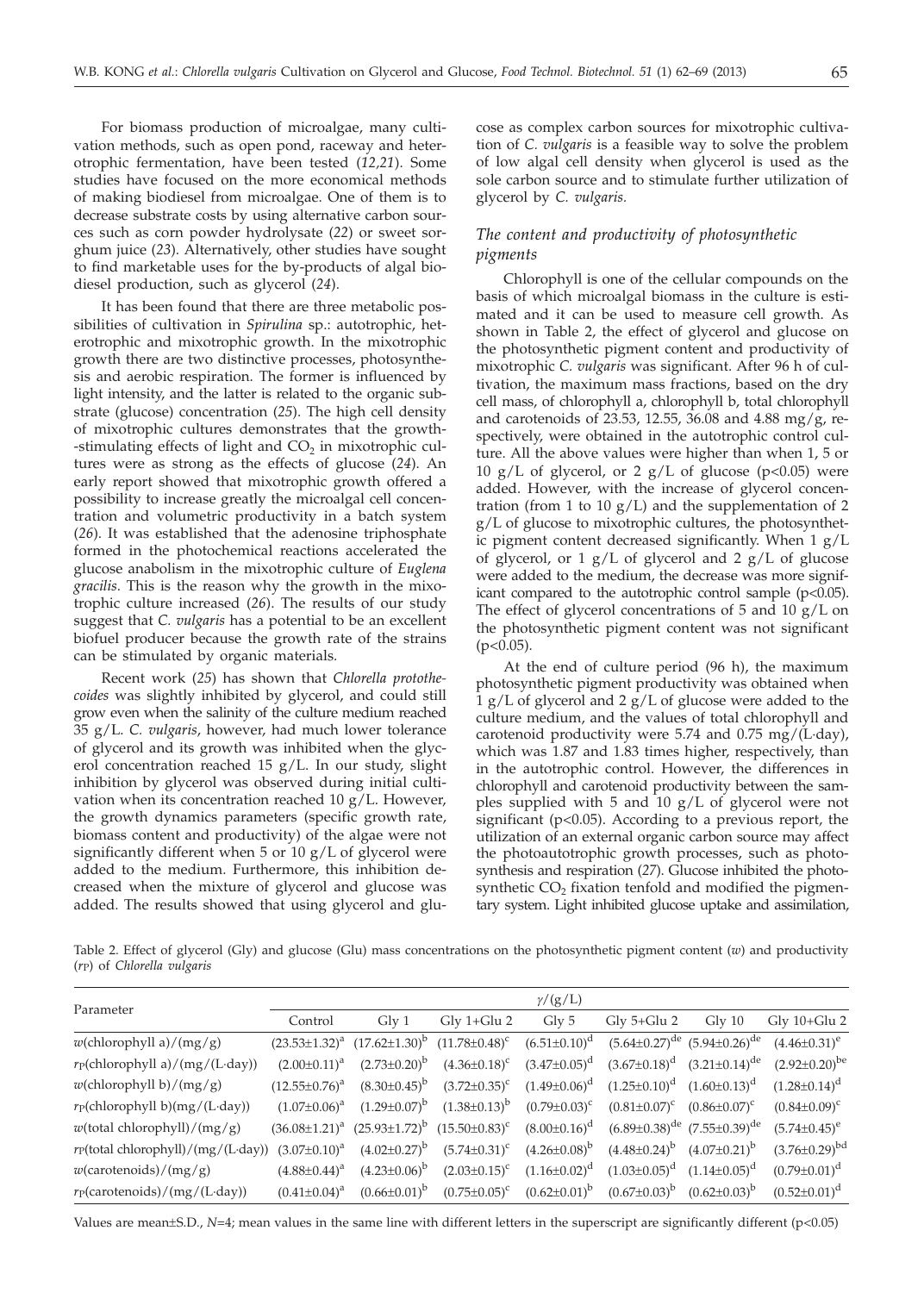For biomass production of microalgae, many cultivation methods, such as open pond, raceway and heterotrophic fermentation, have been tested (*12,21*). Some studies have focused on the more economical methods of making biodiesel from microalgae. One of them is to decrease substrate costs by using alternative carbon sources such as corn powder hydrolysate (*22*) or sweet sorghum juice (*23*). Alternatively, other studies have sought to find marketable uses for the by-products of algal biodiesel production, such as glycerol (*24*).

It has been found that there are three metabolic possibilities of cultivation in *Spirulina* sp.: autotrophic, heterotrophic and mixotrophic growth. In the mixotrophic growth there are two distinctive processes, photosynthesis and aerobic respiration. The former is influenced by light intensity, and the latter is related to the organic substrate (glucose) concentration (*25*). The high cell density of mixotrophic cultures demonstrates that the growth- -stimulating effects of light and  $CO<sub>2</sub>$  in mixotrophic cultures were as strong as the effects of glucose (*24*). An early report showed that mixotrophic growth offered a possibility to increase greatly the microalgal cell concentration and volumetric productivity in a batch system (*26*). It was established that the adenosine triphosphate formed in the photochemical reactions accelerated the glucose anabolism in the mixotrophic culture of *Euglena gracilis*. This is the reason why the growth in the mixotrophic culture increased (*26*). The results of our study suggest that *C. vulgaris* has a potential to be an excellent biofuel producer because the growth rate of the strains can be stimulated by organic materials.

Recent work (*25*) has shown that *Chlorella protothecoides* was slightly inhibited by glycerol, and could still grow even when the salinity of the culture medium reached 35 g/L. *C. vulgaris*, however, had much lower tolerance of glycerol and its growth was inhibited when the glycerol concentration reached 15 g/L. In our study, slight inhibition by glycerol was observed during initial cultivation when its concentration reached 10  $g/L$ . However, the growth dynamics parameters (specific growth rate, biomass content and productivity) of the algae were not significantly different when 5 or 10 g/L of glycerol were added to the medium. Furthermore, this inhibition decreased when the mixture of glycerol and glucose was added. The results showed that using glycerol and glucose as complex carbon sources for mixotrophic cultivation of *C. vulgaris* is a feasible way to solve the problem of low algal cell density when glycerol is used as the sole carbon source and to stimulate further utilization of glycerol by *C. vulgaris.*

# *The content and productivity of photosynthetic pigments*

Chlorophyll is one of the cellular compounds on the basis of which microalgal biomass in the culture is estimated and it can be used to measure cell growth. As shown in Table 2, the effect of glycerol and glucose on the photosynthetic pigment content and productivity of mixotrophic *C. vulgaris* was significant. After 96 h of cultivation, the maximum mass fractions, based on the dry cell mass, of chlorophyll a, chlorophyll b, total chlorophyll and carotenoids of 23.53, 12.55, 36.08 and 4.88 mg/g, respectively, were obtained in the autotrophic control culture. All the above values were higher than when 1, 5 or 10 g/L of glycerol, or 2 g/L of glucose ( $p$ <0.05) were added. However, with the increase of glycerol concentration (from 1 to 10  $g/L$ ) and the supplementation of 2 g/L of glucose to mixotrophic cultures, the photosynthetic pigment content decreased significantly. When 1 g/L of glycerol, or 1  $g/L$  of glycerol and 2  $g/L$  of glucose were added to the medium, the decrease was more significant compared to the autotrophic control sample (p<0.05). The effect of glycerol concentrations of  $5$  and  $10 \text{ g/L}$  on the photosynthetic pigment content was not significant  $(p<0.05)$ .

At the end of culture period (96 h), the maximum photosynthetic pigment productivity was obtained when 1 g/L of glycerol and 2 g/L of glucose were added to the culture medium, and the values of total chlorophyll and carotenoid productivity were 5.74 and 0.75 mg/(L·day), which was 1.87 and 1.83 times higher, respectively, than in the autotrophic control. However, the differences in chlorophyll and carotenoid productivity between the samples supplied with 5 and 10 g/L of glycerol were not significant (p<0.05). According to a previous report, the utilization of an external organic carbon source may affect the photoautotrophic growth processes, such as photosynthesis and respiration (*27*). Glucose inhibited the photosynthetic  $CO<sub>2</sub>$  fixation tenfold and modified the pigmentary system. Light inhibited glucose uptake and assimilation,

Table 2. Effect of glycerol (Gly) and glucose (Glu) mass concentrations on the photosynthetic pigment content (*w*) and productivity (*r*P) of *Chlorella vulgaris*

|                                                     | $\gamma/(g/L)$       |                                                                |                                   |                       |                                           |                     |                                     |  |  |
|-----------------------------------------------------|----------------------|----------------------------------------------------------------|-----------------------------------|-----------------------|-------------------------------------------|---------------------|-------------------------------------|--|--|
| Parameter                                           | Control              | $\mathrm{Glv}\,1$                                              | $\mathrm{Gly}\;1+\mathrm{Glu}\;2$ | $\mathrm{Gly}5$       | $\mathrm{Gly}\ 5 + \mathrm{Glu}\ 2$       | $\mathrm{Gly}~10$   | $\mathrm{Gly}$ 10+ $\mathrm{Glu}$ 2 |  |  |
| $w(\text{chlorophyll a})/(mg/g)$                    |                      | $(23.53\pm1.32)^{a}$ $(17.62\pm1.30)^{b}$ $(11.78\pm0.48)^{c}$ |                                   | $(6.51 \pm 0.10)^d$   | $(5.64\pm0.27)^{de}$ $(5.94\pm0.26)^{de}$ |                     | $(4.46\pm0.31)^e$                   |  |  |
| $r_P$ (chlorophyll a)/(mg/(L·day))                  | $(2.00 \pm 0.11)^a$  | $(2.73 \pm 0.20)^b$                                            | $(4.36 \pm 0.18)^c$               | $(3.47 \pm 0.05)^d$   | $(3.67\pm0.18)^d$ $(3.21\pm0.14)^{de}$    |                     | $(2.92\pm0.20)^{be}$                |  |  |
| $w$ (chlorophyll b)/(mg/g)                          | $(12.55 \pm 0.76)^a$ | $(8.30\pm0.45)^{b}$                                            | $(3.72 \pm 0.35)^c$               | $(1.49\pm0.06)^d$     | $(1.25\pm0.10)^d$ $(1.60\pm0.13)^d$       |                     | $(1.28 \pm 0.14)^d$                 |  |  |
| $r_P$ (chlorophyll b)(mg/(L·day))                   | $(1.07 \pm 0.06)^a$  | $(1.29 \pm 0.07)^b$                                            | $(1.38\pm0.13)^b$                 | $(0.79 \pm 0.03)^c$   | $(0.81 \pm 0.07)^c$                       | $(0.86 \pm 0.07)^c$ | $(0.84 \pm 0.09)^c$                 |  |  |
| $w$ (total chlorophyll)/(mg/g)                      |                      | $(36.08\pm1.21)^a$ $(25.93\pm1.72)^b$ $(15.50\pm0.83)^c$       |                                   | $(8.00\pm0.16)^d$     | $(6.89\pm0.38)^{de}$ $(7.55\pm0.39)^{de}$ |                     | $(5.74 \pm 0.45)^e$                 |  |  |
| $r_P$ (total chlorophyll)/(mg/(L·day))              | $(3.07 \pm 0.10)^a$  | $(4.02 \pm 0.27)^{b}$                                          | $(5.74 \pm 0.31)^c$               | $(4.26 \pm 0.08)^{b}$ | $(4.48\pm0.24)^{b}$                       | $(4.07 \pm 0.21)^b$ | $(3.76 \pm 0.29)^{bd}$              |  |  |
| $w$ (carotenoids)/(mg/g)                            | $(4.88\pm0.44)^a$    | $(4.23 \pm 0.06)^b$                                            | $(2.03 \pm 0.15)^c$               | $(1.16 \pm 0.02)^d$   | $(1.03\pm0.05)^d$ $(1.14\pm0.05)^d$       |                     | $(0.79 \pm 0.01)^d$                 |  |  |
| $r_P(\text{carotenoids})/(mg/(L \cdot \text{day}))$ | $(0.41 \pm 0.04)^a$  | $(0.66 \pm 0.01)^{b}$                                          | $(0.75 \pm 0.05)^c$               | $(0.62 \pm 0.01)^b$   | $(0.67 \pm 0.03)^b$                       | $(0.62 \pm 0.03)^b$ | $(0.52 \pm 0.01)^d$                 |  |  |

Values are mean±S.D.,  $N=4$ ; mean values in the same line with different letters in the superscript are significantly different (p<0.05)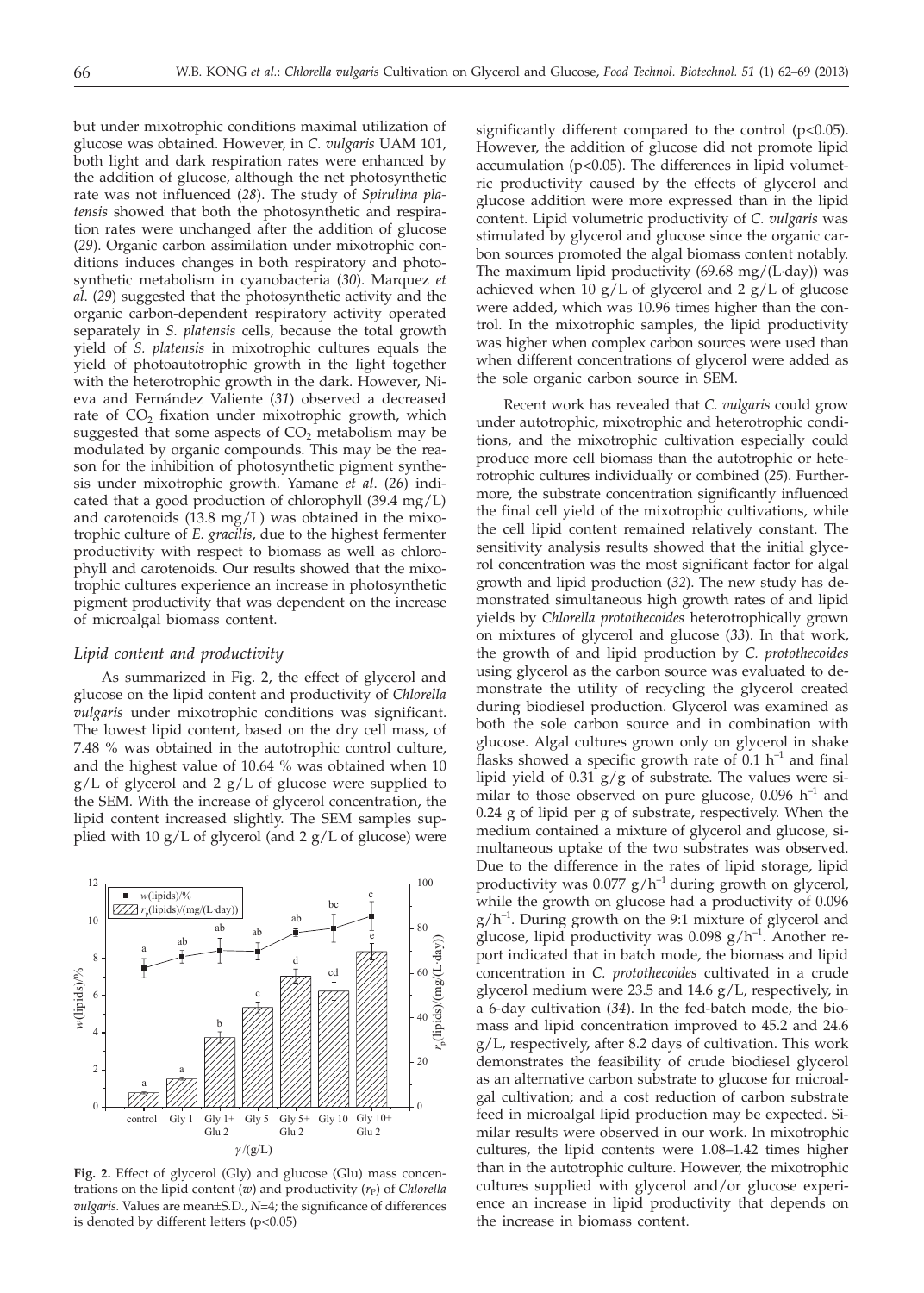but under mixotrophic conditions maximal utilization of glucose was obtained. However, in *C. vulgaris* UAM 101, both light and dark respiration rates were enhanced by the addition of glucose, although the net photosynthetic rate was not influenced (*28*). The study of *Spirulina platensis* showed that both the photosynthetic and respiration rates were unchanged after the addition of glucose (*29*). Organic carbon assimilation under mixotrophic conditions induces changes in both respiratory and photosynthetic metabolism in cyanobacteria (*30*). Marquez *et al*. (*29*) suggested that the photosynthetic activity and the organic carbon-dependent respiratory activity operated separately in *S. platensis* cells, because the total growth yield of *S. platensis* in mixotrophic cultures equals the yield of photoautotrophic growth in the light together with the heterotrophic growth in the dark. However, Nieva and Fernández Valiente (*31*) observed a decreased rate of  $CO<sub>2</sub>$  fixation under mixotrophic growth, which suggested that some aspects of  $CO<sub>2</sub>$  metabolism may be modulated by organic compounds. This may be the reason for the inhibition of photosynthetic pigment synthesis under mixotrophic growth. Yamane *et al*. (*26*) indicated that a good production of chlorophyll (39.4 mg/L) and carotenoids (13.8 mg/L) was obtained in the mixotrophic culture of *E. gracilis*, due to the highest fermenter productivity with respect to biomass as well as chlorophyll and carotenoids. Our results showed that the mixotrophic cultures experience an increase in photosynthetic pigment productivity that was dependent on the increase of microalgal biomass content.

### *Lipid content and productivity*

As summarized in Fig. 2, the effect of glycerol and glucose on the lipid content and productivity of *Chlorella vulgaris* under mixotrophic conditions was significant. The lowest lipid content, based on the dry cell mass, of 7.48 % was obtained in the autotrophic control culture, and the highest value of 10.64 % was obtained when 10 g/L of glycerol and 2 g/L of glucose were supplied to the SEM. With the increase of glycerol concentration, the lipid content increased slightly. The SEM samples supplied with 10  $g/L$  of glycerol (and 2  $g/L$  of glucose) were



**Fig. 2.** Effect of glycerol (Gly) and glucose (Glu) mass concentrations on the lipid content (*w*) and productivity (*r*<sub>P</sub>) of *Chlorella vulgaris.* Values are mean±S.D., *N*=4; the significance of differences is denoted by different letters (p<0.05)

significantly different compared to the control  $(p<0.05)$ . However, the addition of glucose did not promote lipid accumulation (p<0.05). The differences in lipid volumetric productivity caused by the effects of glycerol and glucose addition were more expressed than in the lipid content. Lipid volumetric productivity of *C. vulgaris* was stimulated by glycerol and glucose since the organic carbon sources promoted the algal biomass content notably. The maximum lipid productivity (69.68 mg/(L·day)) was achieved when  $10 g/L$  of glycerol and  $2 g/L$  of glucose were added, which was 10.96 times higher than the control. In the mixotrophic samples, the lipid productivity was higher when complex carbon sources were used than when different concentrations of glycerol were added as the sole organic carbon source in SEM.

Recent work has revealed that *C. vulgaris* could grow under autotrophic, mixotrophic and heterotrophic conditions, and the mixotrophic cultivation especially could produce more cell biomass than the autotrophic or heterotrophic cultures individually or combined (*25*). Furthermore, the substrate concentration significantly influenced the final cell yield of the mixotrophic cultivations, while the cell lipid content remained relatively constant. The sensitivity analysis results showed that the initial glycerol concentration was the most significant factor for algal growth and lipid production (*32*). The new study has demonstrated simultaneous high growth rates of and lipid yields by *Chlorella protothecoides* heterotrophically grown on mixtures of glycerol and glucose (*33*). In that work, the growth of and lipid production by *C. protothecoides* using glycerol as the carbon source was evaluated to demonstrate the utility of recycling the glycerol created during biodiesel production. Glycerol was examined as both the sole carbon source and in combination with glucose. Algal cultures grown only on glycerol in shake flasks showed a specific growth rate of 0.1  $h^{-1}$  and final lipid yield of 0.31 g/g of substrate. The values were similar to those observed on pure glucose, 0.096  $h^{-1}$  and 0.24 g of lipid per g of substrate, respectively. When the medium contained a mixture of glycerol and glucose, simultaneous uptake of the two substrates was observed. Due to the difference in the rates of lipid storage, lipid productivity was  $0.077$  g/h<sup>-1</sup> during growth on glycerol, while the growth on glucose had a productivity of 0.096  $g/h^{-1}$ . During growth on the 9:1 mixture of glycerol and glucose, lipid productivity was  $0.098$  g/h<sup>-1</sup>. Another report indicated that in batch mode, the biomass and lipid concentration in *C. protothecoides* cultivated in a crude glycerol medium were 23.5 and 14.6 g/L, respectively, in a 6-day cultivation (*34*). In the fed-batch mode, the biomass and lipid concentration improved to 45.2 and 24.6 g/L, respectively, after 8.2 days of cultivation. This work demonstrates the feasibility of crude biodiesel glycerol as an alternative carbon substrate to glucose for microalgal cultivation; and a cost reduction of carbon substrate feed in microalgal lipid production may be expected. Similar results were observed in our work. In mixotrophic cultures, the lipid contents were 1.08–1.42 times higher than in the autotrophic culture. However, the mixotrophic cultures supplied with glycerol and/or glucose experience an increase in lipid productivity that depends on the increase in biomass content.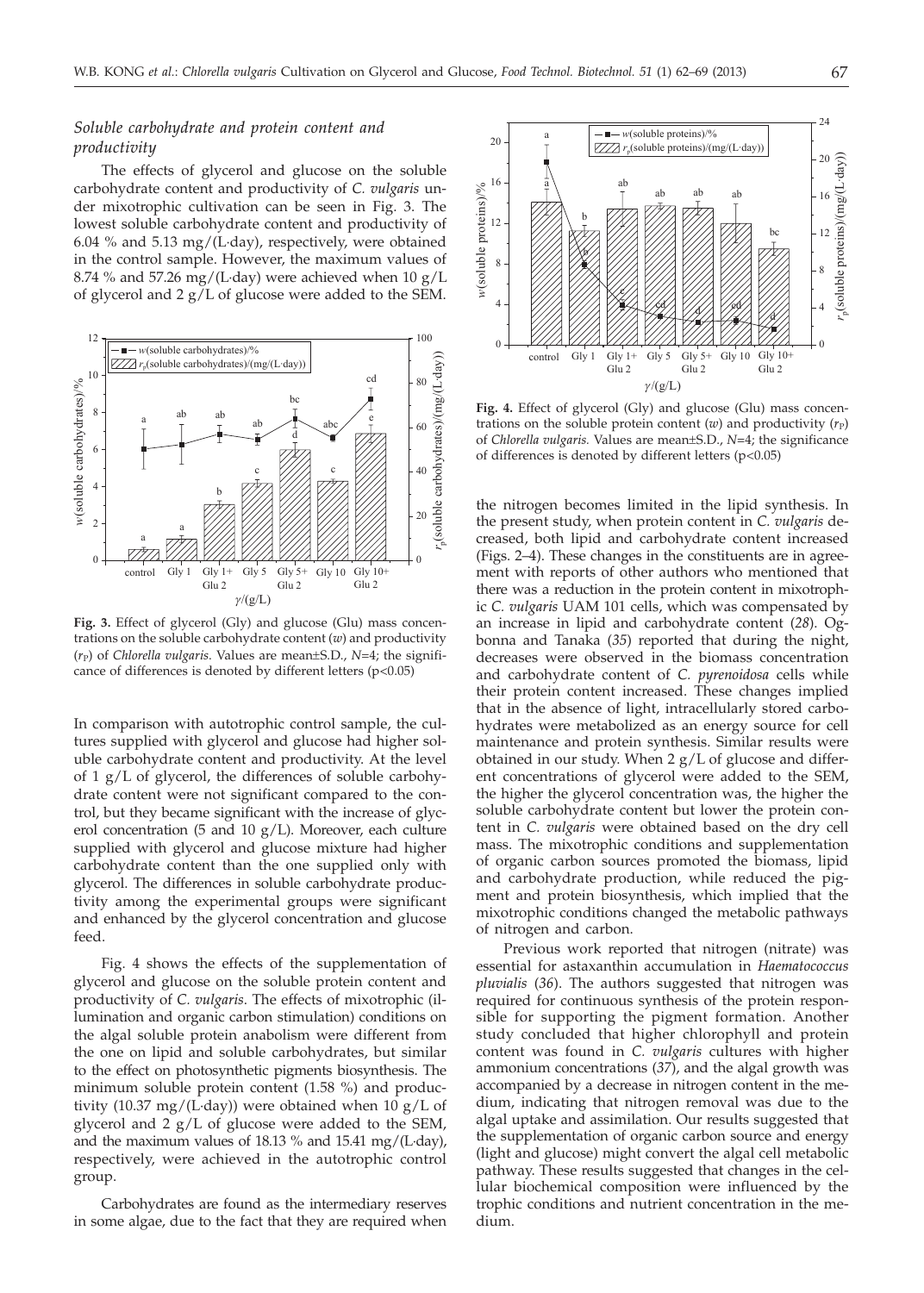# *Soluble carbohydrate and protein content and productivity*

The effects of glycerol and glucose on the soluble carbohydrate content and productivity of *C. vulgaris* under mixotrophic cultivation can be seen in Fig. 3. The lowest soluble carbohydrate content and productivity of 6.04 % and 5.13 mg/(L·day), respectively, were obtained in the control sample. However, the maximum values of 8.74 % and 57.26 mg/(L·day) were achieved when  $10 \text{ g/L}$ of glycerol and 2 g/L of glucose were added to the SEM.



**Fig. 3.** Effect of glycerol (Gly) and glucose (Glu) mass concentrations on the soluble carbohydrate content (*w*) and productivity  $(r_P)$  of *Chlorella vulgaris*. Values are mean $\pm$ S.D., *N*=4; the significance of differences is denoted by different letters  $(p<0.05)$ 

In comparison with autotrophic control sample, the cultures supplied with glycerol and glucose had higher soluble carbohydrate content and productivity. At the level of 1 g/L of glycerol, the differences of soluble carbohydrate content were not significant compared to the control, but they became significant with the increase of glycerol concentration (5 and 10  $g/L$ ). Moreover, each culture supplied with glycerol and glucose mixture had higher carbohydrate content than the one supplied only with glycerol. The differences in soluble carbohydrate productivity among the experimental groups were significant and enhanced by the glycerol concentration and glucose feed.

Fig. 4 shows the effects of the supplementation of glycerol and glucose on the soluble protein content and productivity of *C. vulgaris*. The effects of mixotrophic (illumination and organic carbon stimulation) conditions on the algal soluble protein anabolism were different from the one on lipid and soluble carbohydrates, but similar to the effect on photosynthetic pigments biosynthesis. The minimum soluble protein content (1.58 %) and productivity (10.37 mg/(L·day)) were obtained when 10 g/L of glycerol and  $2 g/L$  of glucose were added to the SEM, and the maximum values of 18.13 % and 15.41 mg/(L·day), respectively, were achieved in the autotrophic control group.

Carbohydrates are found as the intermediary reserves in some algae, due to the fact that they are required when



**Fig. 4.** Effect of glycerol (Gly) and glucose (Glu) mass concentrations on the soluble protein content  $(w)$  and productivity  $(r_P)$ of *Chlorella vulgaris.* Values are mean±S.D., *N*=4; the significance of differences is denoted by different letters (p<0.05)

the nitrogen becomes limited in the lipid synthesis. In the present study, when protein content in *C. vulgaris* decreased, both lipid and carbohydrate content increased (Figs. 2–4). These changes in the constituents are in agreement with reports of other authors who mentioned that there was a reduction in the protein content in mixotrophic *C. vulgaris* UAM 101 cells, which was compensated by an increase in lipid and carbohydrate content (*28*). Ogbonna and Tanaka (*35*) reported that during the night, decreases were observed in the biomass concentration and carbohydrate content of *C. pyrenoidosa* cells while their protein content increased. These changes implied that in the absence of light, intracellularly stored carbohydrates were metabolized as an energy source for cell maintenance and protein synthesis. Similar results were obtained in our study. When 2 g/L of glucose and different concentrations of glycerol were added to the SEM, the higher the glycerol concentration was, the higher the soluble carbohydrate content but lower the protein content in *C. vulgaris* were obtained based on the dry cell mass. The mixotrophic conditions and supplementation of organic carbon sources promoted the biomass, lipid and carbohydrate production, while reduced the pigment and protein biosynthesis, which implied that the mixotrophic conditions changed the metabolic pathways of nitrogen and carbon.

Previous work reported that nitrogen (nitrate) was essential for astaxanthin accumulation in *Haematococcus pluvialis* (*36*). The authors suggested that nitrogen was required for continuous synthesis of the protein responsible for supporting the pigment formation. Another study concluded that higher chlorophyll and protein content was found in *C. vulgaris* cultures with higher ammonium concentrations (*37*), and the algal growth was accompanied by a decrease in nitrogen content in the medium, indicating that nitrogen removal was due to the algal uptake and assimilation. Our results suggested that the supplementation of organic carbon source and energy (light and glucose) might convert the algal cell metabolic pathway. These results suggested that changes in the cellular biochemical composition were influenced by the trophic conditions and nutrient concentration in the medium.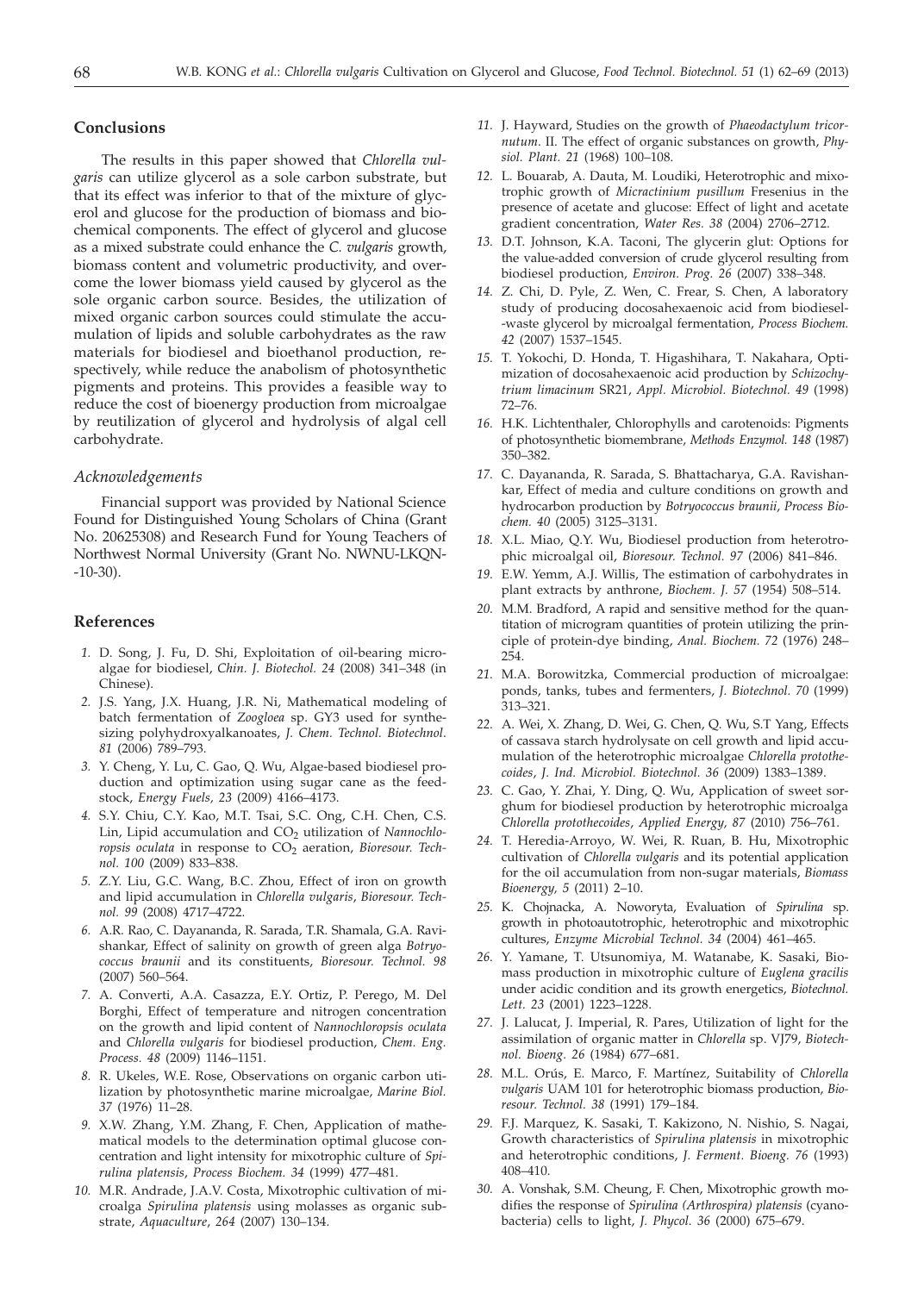## **Conclusions**

The results in this paper showed that *Chlorella vulgaris* can utilize glycerol as a sole carbon substrate, but that its effect was inferior to that of the mixture of glycerol and glucose for the production of biomass and biochemical components. The effect of glycerol and glucose as a mixed substrate could enhance the *C. vulgaris* growth, biomass content and volumetric productivity, and overcome the lower biomass yield caused by glycerol as the sole organic carbon source. Besides, the utilization of mixed organic carbon sources could stimulate the accumulation of lipids and soluble carbohydrates as the raw materials for biodiesel and bioethanol production, respectively, while reduce the anabolism of photosynthetic pigments and proteins. This provides a feasible way to reduce the cost of bioenergy production from microalgae by reutilization of glycerol and hydrolysis of algal cell carbohydrate.

#### *Acknowledgements*

Financial support was provided by National Science Found for Distinguished Young Scholars of China (Grant No. 20625308) and Research Fund for Young Teachers of Northwest Normal University (Grant No. NWNU-LKQN- -10-30).

## **References**

- *1.* D. Song, J. Fu, D. Shi, Exploitation of oil-bearing microalgae for biodiesel, *Chin. J. Biotechol. 24* (2008) 341–348 (in Chinese).
- *2.* J.S. Yang, J.X. Huang, J.R. Ni, Mathematical modeling of batch fermentation of *Zoogloea* sp. GY3 used for synthesizing polyhydroxyalkanoates, *J. Chem. Technol. Biotechnol*. *81* (2006) 789–793.
- *3.* Y. Cheng, Y. Lu, C. Gao, Q. Wu, Algae-based biodiesel production and optimization using sugar cane as the feedstock, *Energy Fuels, 23* (2009) 4166–4173.
- *4.* S.Y. Chiu, C.Y. Kao, M.T. Tsai, S.C. Ong, C.H. Chen, C.S. Lin, Lipid accumulation and CO<sub>2</sub> utilization of *Nannochlo*ropsis oculata in response to CO<sub>2</sub> aeration, *Bioresour*. Tech*nol. 100* (2009) 833–838.
- *5.* Z.Y. Liu, G.C. Wang, B.C. Zhou, Effect of iron on growth and lipid accumulation in *Chlorella vulgaris*, *Bioresour. Technol. 99* (2008) 4717–4722.
- *6.* A.R. Rao, C. Dayananda, R. Sarada, T.R. Shamala, G.A. Ravishankar, Effect of salinity on growth of green alga *Botryococcus braunii* and its constituents, *Bioresour. Technol. 98* (2007) 560–564.
- *7.* A. Converti, A.A. Casazza, E.Y. Ortiz, P. Perego, M. Del Borghi, Effect of temperature and nitrogen concentration on the growth and lipid content of *Nannochloropsis oculata* and *Chlorella vulgaris* for biodiesel production, *Chem. Eng. Process. 48* (2009) 1146–1151.
- *8.* R. Ukeles, W.E. Rose, Observations on organic carbon utilization by photosynthetic marine microalgae, *Marine Biol. 37* (1976) 11–28.
- *9.* X.W. Zhang, Y.M. Zhang, F. Chen, Application of mathematical models to the determination optimal glucose concentration and light intensity for mixotrophic culture of *Spirulina platensis*, *Process Biochem. 34* (1999) 477–481.
- *10.* M.R. Andrade, J.A.V. Costa, Mixotrophic cultivation of microalga *Spirulina platensis* using molasses as organic substrate, *Aquaculture*, *264* (2007) 130–134.
- *11.* J. Hayward, Studies on the growth of *Phaeodactylum tricornutum*. II. The effect of organic substances on growth, *Physiol. Plant. 21* (1968) 100–108.
- *12.* L. Bouarab, A. Dauta, M. Loudiki, Heterotrophic and mixotrophic growth of *Micractinium pusillum* Fresenius in the presence of acetate and glucose: Effect of light and acetate gradient concentration, *Water Res. 38* (2004) 2706–2712.
- *13.* D.T. Johnson, K.A. Taconi, The glycerin glut: Options for the value-added conversion of crude glycerol resulting from biodiesel production, *Environ. Prog. 26* (2007) 338–348.
- *14.* Z. Chi, D. Pyle, Z. Wen, C. Frear, S. Chen, A laboratory study of producing docosahexaenoic acid from biodiesel- -waste glycerol by microalgal fermentation, *Process Biochem. 42* (2007) 1537–1545.
- *15.* T. Yokochi, D. Honda, T. Higashihara, T. Nakahara, Optimization of docosahexaenoic acid production by *Schizochytrium limacinum* SR21, *Appl. Microbiol. Biotechnol. 49* (1998) 72–76.
- *16.* H.K. Lichtenthaler, Chlorophylls and carotenoids: Pigments of photosynthetic biomembrane, *Methods Enzymol. 148* (1987) 350–382.
- *17.* C. Dayananda, R. Sarada, S. Bhattacharya, G.A. Ravishankar, Effect of media and culture conditions on growth and hydrocarbon production by *Botryococcus braunii*, *Process Biochem. 40* (2005) 3125–3131.
- *18.* X.L. Miao, Q.Y. Wu, Biodiesel production from heterotrophic microalgal oil, *Bioresour. Technol. 97* (2006) 841–846.
- *19.* E.W. Yemm, A.J. Willis, The estimation of carbohydrates in plant extracts by anthrone, *Biochem. J. 57* (1954) 508–514.
- *20.* M.M. Bradford, A rapid and sensitive method for the quantitation of microgram quantities of protein utilizing the principle of protein-dye binding, *Anal. Biochem. 72* (1976) 248– 254.
- *21.* M.A. Borowitzka, Commercial production of microalgae: ponds, tanks, tubes and fermenters, *J. Biotechnol. 70* (1999) 313–321.
- *22.* A. Wei, X. Zhang, D. Wei, G. Chen, Q. Wu, S.T Yang, Effects of cassava starch hydrolysate on cell growth and lipid accumulation of the heterotrophic microalgae *Chlorella protothecoides*, *J. Ind. Microbiol. Biotechnol. 36* (2009) 1383–1389.
- *23.* C. Gao, Y. Zhai, Y. Ding, Q. Wu, Application of sweet sorghum for biodiesel production by heterotrophic microalga *Chlorella protothecoides*, *Applied Energy, 87* (2010) 756–761.
- *24.* T. Heredia-Arroyo, W. Wei, R. Ruan, B. Hu, Mixotrophic cultivation of *Chlorella vulgaris* and its potential application for the oil accumulation from non-sugar materials, *Biomass Bioenergy, 5* (2011) 2–10.
- *25.* K. Chojnacka, A. Noworyta, Evaluation of *Spirulina* sp. growth in photoautotrophic, heterotrophic and mixotrophic cultures, *Enzyme Microbial Technol. 34* (2004) 461–465.
- *26.* Y. Yamane, T. Utsunomiya, M. Watanabe, K. Sasaki, Biomass production in mixotrophic culture of *Euglena gracilis* under acidic condition and its growth energetics, *Biotechnol. Lett. 23* (2001) 1223–1228.
- *27.* J. Lalucat, J. Imperial, R. Pares, Utilization of light for the assimilation of organic matter in *Chlorella* sp. VJ79, *Biotechnol. Bioeng. 26* (1984) 677–681.
- *28.* M.L. Orús, E. Marco, F. Martínez, Suitability of *Chlorella vulgaris* UAM 101 for heterotrophic biomass production, *Bioresour. Technol. 38* (1991) 179–184.
- *29.* F.J. Marquez, K. Sasaki, T. Kakizono, N. Nishio, S. Nagai, Growth characteristics of *Spirulina platensis* in mixotrophic and heterotrophic conditions, *J. Ferment. Bioeng. 76* (1993) 408–410.
- *30.* A. Vonshak, S.M. Cheung, F. Chen, Mixotrophic growth modifies the response of *Spirulina (Arthrospira) platensis* (cyanobacteria) cells to light, *J. Phycol. 36* (2000) 675–679.